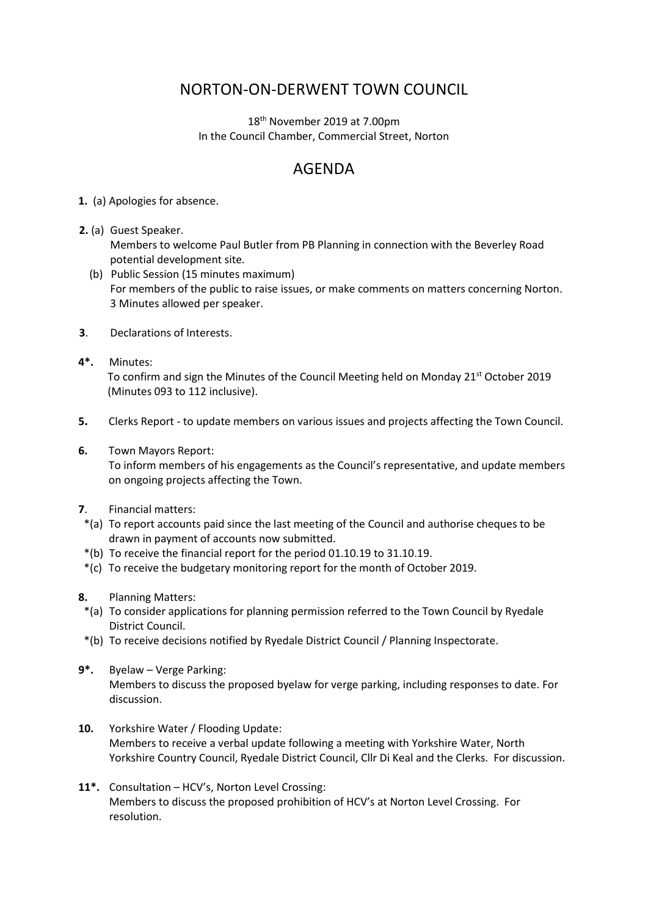## NORTON-ON-DERWENT TOWN COUNCIL

18th November 2019 at 7.00pm In the Council Chamber, Commercial Street, Norton

## AGENDA

**1.** (a) Apologies for absence.

**2.** (a) Guest Speaker.

Members to welcome Paul Butler from PB Planning in connection with the Beverley Road potential development site.

- (b) Public Session (15 minutes maximum) For members of the public to raise issues, or make comments on matters concerning Norton. 3 Minutes allowed per speaker.
- **3**. Declarations of Interests.
- **4\*.** Minutes: To confirm and sign the Minutes of the Council Meeting held on Monday 21st October 2019 (Minutes 093 to 112 inclusive).
- **5.** Clerks Report to update members on various issues and projects affecting the Town Council.
- **6.** Town Mayors Report:

 To inform members of his engagements as the Council's representative, and update members on ongoing projects affecting the Town.

- **7**. Financial matters:
- \*(a) To report accounts paid since the last meeting of the Council and authorise cheques to be drawn in payment of accounts now submitted.
- \*(b) To receive the financial report for the period 01.10.19 to 31.10.19.
- \*(c) To receive the budgetary monitoring report for the month of October 2019.
- **8.** Planning Matters:
- \*(a) To consider applications for planning permission referred to the Town Council by Ryedale District Council.
- \*(b) To receive decisions notified by Ryedale District Council / Planning Inspectorate.
- **9\*.** Byelaw Verge Parking:

 Members to discuss the proposed byelaw for verge parking, including responses to date. For discussion.

- **10.** Yorkshire Water / Flooding Update: Members to receive a verbal update following a meeting with Yorkshire Water, North Yorkshire Country Council, Ryedale District Council, Cllr Di Keal and the Clerks. For discussion.
- **11\*.** Consultation HCV's, Norton Level Crossing: Members to discuss the proposed prohibition of HCV's at Norton Level Crossing. For resolution.